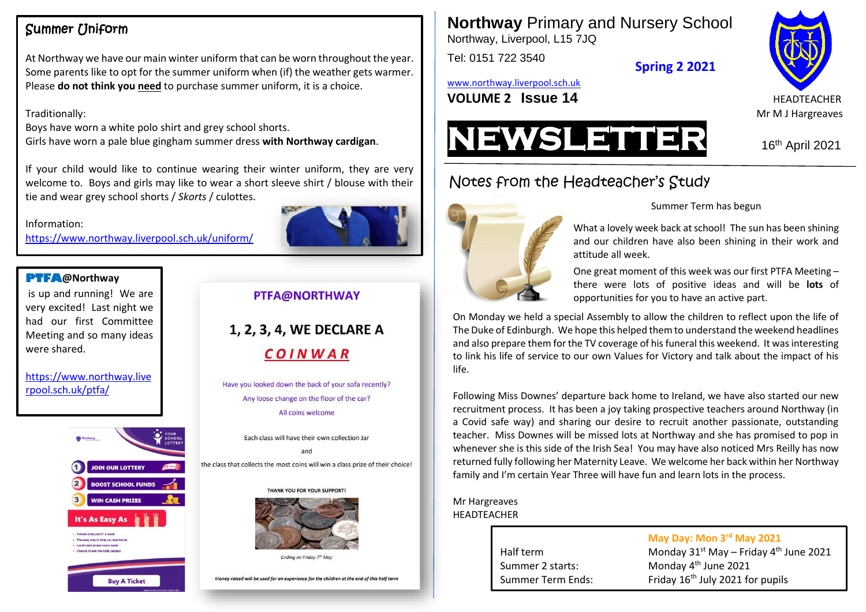### Summer Uniform

At Northway we have our main winter uniform that can be worn throughout the year. Some parents like to opt for the summer uniform when (if) the weather gets warmer. Please **do not think you need** to purchase summer uniform, it is a choice.

#### Traditionally:

Boys have worn a white polo shirt and grey school shorts. Girls have worn a pale blue gingham summer dress **with Northway cardigan**.

If your child would like to continue wearing their winter uniform, they are very welcome to. Boys and girls may like to wear a short sleeve shirt / blouse with their tie and wear grey school shorts / *Skorts* / culottes.

#### Information:

<https://www.northway.liverpool.sch.uk/uniform/>

#### **PTFA@Northway**

**Team Small** is up and running! We are very excited! Last night we had our first Committee Meeting and so many ideas were shared.

[https://www.northway.live](https://www.northway.liverpool.sch.uk/ptfa/) [rpool.sch.uk/ptfa/](https://www.northway.liverpool.sch.uk/ptfa/)



#### PTFA@NORTHWAY

1, 2, 3, 4, WE DECLARE A COINWAR

Have you looked down the back of your sofa recently? Any loose change on the floor of the car? All coins welcome

Each class will have their own collection Jar  $and$ the class that collects the most coins will win a class prize of their choice!





Ending on Friday 7th May

Money raised will be used for an experience for the children at the end of this half ter

**Northway** Primary and Nursery School Northway, Liverpool, L15 7JQ

Tel: 0151 722 3540

**Spring 2 2021**

[www.northway.liverpool.sch.uk](http://www.northway.liverpool.sch.uk/)

**VOLUME 2 ISSUE 14** HEADTEACHER





# Notes from the Headteacher's Study



#### Summer Term has begun

What a lovely week back at school! The sun has been shining and our children have also been shining in their work and attitude all week.

One great moment of this week was our first PTFA Meeting – there were lots of positive ideas and will be **lots** of opportunities for you to have an active part.

On Monday we held a special Assembly to allow the children to reflect upon the life of The Duke of Edinburgh. We hope this helped them to understand the weekend headlines and also prepare them for the TV coverage of his funeral this weekend. It was interesting to link his life of service to our own Values for Victory and talk about the impact of his life.

Following Miss Downes' departure back home to Ireland, we have also started our new recruitment process. It has been a joy taking prospective teachers around Northway (in a Covid safe way) and sharing our desire to recruit another passionate, outstanding teacher. Miss Downes will be missed lots at Northway and she has promised to pop in whenever she is this side of the Irish Sea! You may have also noticed Mrs Reilly has now returned fully following her Maternity Leave. We welcome her back within her Northway family and I'm certain Year Three will have fun and learn lots in the process.

#### Mr Hargreaves **HEADTEACHER**

Summer 2 starts:

**May Day: Mon 3 rd May 2021**

Half term Monday  $31<sup>st</sup>$  May – Friday  $4<sup>th</sup>$  June 2021 Monday 4<sup>th</sup> June 2021 Summer Term Ends: Friday 16<sup>th</sup> July 2021 for pupils